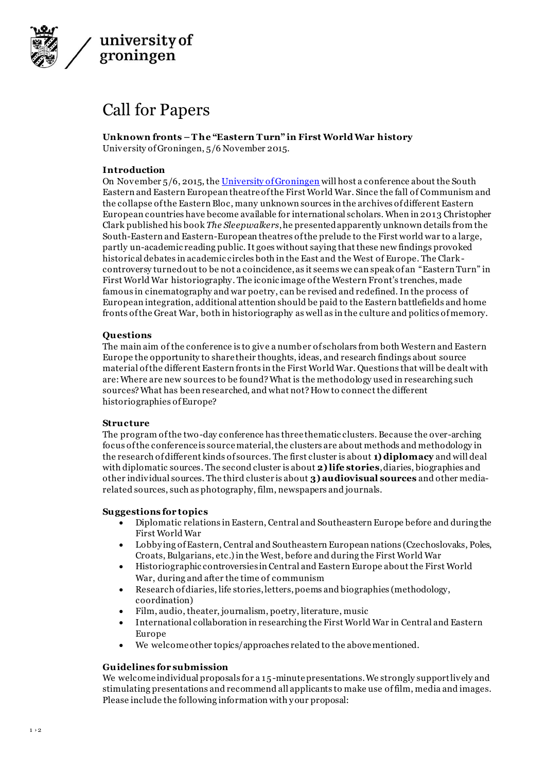

# Call for Papers

**Unknown fronts – T he "Eastern Turn" in First World War history** University of Groningen, 5/6 November 2015.

## **Introduction**

On November 5/6, 2015, th[e University of Groningen](http://www.rug.nl/) will host a conference about the South Eastern and Eastern European theatre of the First World War. Since the fall of Communism and the collapse of the Eastern Bloc, many unknown sources in the archives of different Eastern European countries have become available for international scholars. When in 2013 Christopher Clark published his book *The Sleepwalkers*, he presented apparently unknown details from the South-Eastern and Eastern-European theatres of the prelude to the First world war to a large, partly un-academic reading public. It goes without saying that these new findings provoked historical debates in academic circles both in the East and the West of Europe. The Clarkcontroversy turned out to be not a coincidence, as it seems we can speak of an "Eastern Turn" in First World War historiography. The iconic image of the Western Front's trenches, made famous in cinematography and war poetry, can be revised and redefined. In the process of European integration, additional attention should be paid to the Eastern battlefields and home fronts of the Great War, both in historiography as well as in the culture and politics of memory.

## **Questions**

The main aim of the conference is to give a number of scholars from both Western and Eastern Europe the opportunity to share their thoughts, ideas, and research findings about source material of the different Eastern fronts in the First World War. Questions that will be dealt with are: Where are new sources to be found? What is the methodology used in researching such sources? What has been researched, and what not? How to connect the different historiographies of Europe?

#### **Structure**

The program of the two-day conference has three thematic clusters. Because the over-arching focus of the conference is source material, the clusters are about methods and methodology in the research of different kinds of sources. The first cluster is about **1) diplomacy** and will deal with diplomatic sources. The second cluster is about **2) life stories**, diaries, biographies and other individual sources. The third cluster is about **3) audiovisual sources** and other mediarelated sources, such as photography, film, newspapers and journals.

#### **Suggestions for topics**

- Diplomatic relations in Eastern, Central and Southeastern Europe before and during the First World War
- Lobby ing of Eastern, Central and Southeastern European nations (Czechoslovaks, Poles, Croats, Bulgarians, etc.) in the West, before and during the First World War
- Historiographic controversies in Central and Eastern Europe about the First World War, during and after the time of communism
- Research of diaries, life stories, letters, poems and biographies (methodology, coordination)
- Film, audio, theater, journalism, poetry, literature, music
- International collaboration in researching the First World War in Central and Eastern Europe
- We welcome other topics/approaches related to the above mentioned.

## **Guidelines for submission**

We welcome individual proposals for a 15-minute presentations. We strongly support lively and stimulating presentations and recommend all applicants to make use of film, media and images. Please include the following information with y our proposal: